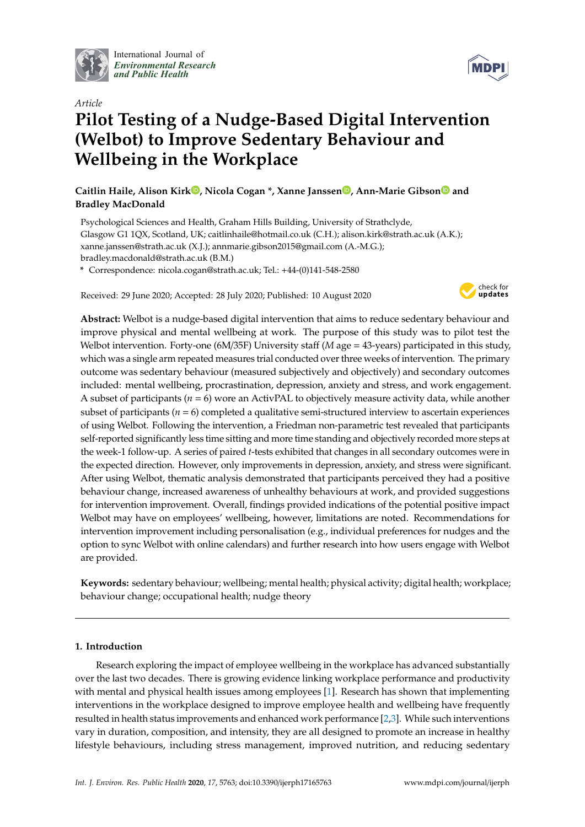

International Journal of *[Environmental Research](http://www.mdpi.com/journal/ijerph) and Public Health*



# *Article* **Pilot Testing of a Nudge-Based Digital Intervention (Welbot) to Improve Sedentary Behaviour and Wellbeing in the Workplace**

**Caitlin Haile, Alison Kir[k](https://orcid.org/0000-0002-6534-3763) , Nicola Cogan \*, Xanne Jansse[n](https://orcid.org/0000-0003-1355-0792) , Ann-Marie Gibso[n](https://orcid.org/0000-0003-2516-7985) and Bradley MacDonald**

Psychological Sciences and Health, Graham Hills Building, University of Strathclyde, Glasgow G1 1QX, Scotland, UK; caitlinhaile@hotmail.co.uk (C.H.); alison.kirk@strath.ac.uk (A.K.); xanne.janssen@strath.ac.uk (X.J.); annmarie.gibson2015@gmail.com (A.-M.G.); bradley.macdonald@strath.ac.uk (B.M.)

**\*** Correspondence: nicola.cogan@strath.ac.uk; Tel.: +44-(0)141-548-2580

Received: 29 June 2020; Accepted: 28 July 2020; Published: 10 August 2020



**Abstract:** Welbot is a nudge-based digital intervention that aims to reduce sedentary behaviour and improve physical and mental wellbeing at work. The purpose of this study was to pilot test the Welbot intervention. Forty-one (6M/35F) University staff (*M* age = 43-years) participated in this study, which was a single arm repeated measures trial conducted over three weeks of intervention. The primary outcome was sedentary behaviour (measured subjectively and objectively) and secondary outcomes included: mental wellbeing, procrastination, depression, anxiety and stress, and work engagement. A subset of participants (*n* = 6) wore an ActivPAL to objectively measure activity data, while another subset of participants (*n* = 6) completed a qualitative semi-structured interview to ascertain experiences of using Welbot. Following the intervention, a Friedman non-parametric test revealed that participants self-reported significantly less time sitting and more time standing and objectively recorded more steps at the week-1 follow-up. A series of paired *t*-tests exhibited that changes in all secondary outcomes were in the expected direction. However, only improvements in depression, anxiety, and stress were significant. After using Welbot, thematic analysis demonstrated that participants perceived they had a positive behaviour change, increased awareness of unhealthy behaviours at work, and provided suggestions for intervention improvement. Overall, findings provided indications of the potential positive impact Welbot may have on employees' wellbeing, however, limitations are noted. Recommendations for intervention improvement including personalisation (e.g., individual preferences for nudges and the option to sync Welbot with online calendars) and further research into how users engage with Welbot are provided.

**Keywords:** sedentary behaviour; wellbeing; mental health; physical activity; digital health; workplace; behaviour change; occupational health; nudge theory

# **1. Introduction**

Research exploring the impact of employee wellbeing in the workplace has advanced substantially over the last two decades. There is growing evidence linking workplace performance and productivity with mental and physical health issues among employees [\[1\]](#page-10-0). Research has shown that implementing interventions in the workplace designed to improve employee health and wellbeing have frequently resulted in health status improvements and enhanced work performance [\[2,](#page-10-1)[3\]](#page-10-2). While such interventions vary in duration, composition, and intensity, they are all designed to promote an increase in healthy lifestyle behaviours, including stress management, improved nutrition, and reducing sedentary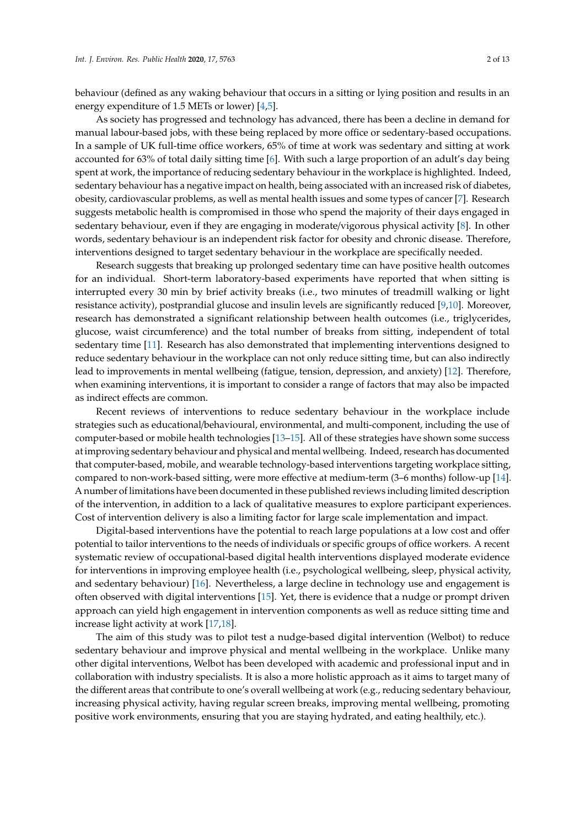behaviour (defined as any waking behaviour that occurs in a sitting or lying position and results in an energy expenditure of 1.5 METs or lower) [\[4](#page-10-3)[,5\]](#page-10-4).

As society has progressed and technology has advanced, there has been a decline in demand for manual labour-based jobs, with these being replaced by more office or sedentary-based occupations. In a sample of UK full-time office workers, 65% of time at work was sedentary and sitting at work accounted for 63% of total daily sitting time [\[6\]](#page-10-5). With such a large proportion of an adult's day being spent at work, the importance of reducing sedentary behaviour in the workplace is highlighted. Indeed, sedentary behaviour has a negative impact on health, being associated with an increased risk of diabetes, obesity, cardiovascular problems, as well as mental health issues and some types of cancer [\[7\]](#page-10-6). Research suggests metabolic health is compromised in those who spend the majority of their days engaged in sedentary behaviour, even if they are engaging in moderate/vigorous physical activity [\[8\]](#page-10-7). In other words, sedentary behaviour is an independent risk factor for obesity and chronic disease. Therefore, interventions designed to target sedentary behaviour in the workplace are specifically needed.

Research suggests that breaking up prolonged sedentary time can have positive health outcomes for an individual. Short-term laboratory-based experiments have reported that when sitting is interrupted every 30 min by brief activity breaks (i.e., two minutes of treadmill walking or light resistance activity), postprandial glucose and insulin levels are significantly reduced [\[9](#page-10-8)[,10\]](#page-10-9). Moreover, research has demonstrated a significant relationship between health outcomes (i.e., triglycerides, glucose, waist circumference) and the total number of breaks from sitting, independent of total sedentary time [\[11\]](#page-11-0). Research has also demonstrated that implementing interventions designed to reduce sedentary behaviour in the workplace can not only reduce sitting time, but can also indirectly lead to improvements in mental wellbeing (fatigue, tension, depression, and anxiety) [\[12\]](#page-11-1). Therefore, when examining interventions, it is important to consider a range of factors that may also be impacted as indirect effects are common.

Recent reviews of interventions to reduce sedentary behaviour in the workplace include strategies such as educational/behavioural, environmental, and multi-component, including the use of computer-based or mobile health technologies [\[13](#page-11-2)[–15\]](#page-11-3). All of these strategies have shown some success at improving sedentary behaviour and physical and mental wellbeing. Indeed, research has documented that computer-based, mobile, and wearable technology-based interventions targeting workplace sitting, compared to non-work-based sitting, were more effective at medium-term (3–6 months) follow-up [\[14\]](#page-11-4). A number of limitations have been documented in these published reviews including limited description of the intervention, in addition to a lack of qualitative measures to explore participant experiences. Cost of intervention delivery is also a limiting factor for large scale implementation and impact.

Digital-based interventions have the potential to reach large populations at a low cost and offer potential to tailor interventions to the needs of individuals or specific groups of office workers. A recent systematic review of occupational-based digital health interventions displayed moderate evidence for interventions in improving employee health (i.e., psychological wellbeing, sleep, physical activity, and sedentary behaviour) [\[16\]](#page-11-5). Nevertheless, a large decline in technology use and engagement is often observed with digital interventions [\[15\]](#page-11-3). Yet, there is evidence that a nudge or prompt driven approach can yield high engagement in intervention components as well as reduce sitting time and increase light activity at work [\[17,](#page-11-6)[18\]](#page-11-7).

The aim of this study was to pilot test a nudge-based digital intervention (Welbot) to reduce sedentary behaviour and improve physical and mental wellbeing in the workplace. Unlike many other digital interventions, Welbot has been developed with academic and professional input and in collaboration with industry specialists. It is also a more holistic approach as it aims to target many of the different areas that contribute to one's overall wellbeing at work (e.g., reducing sedentary behaviour, increasing physical activity, having regular screen breaks, improving mental wellbeing, promoting positive work environments, ensuring that you are staying hydrated, and eating healthily, etc.).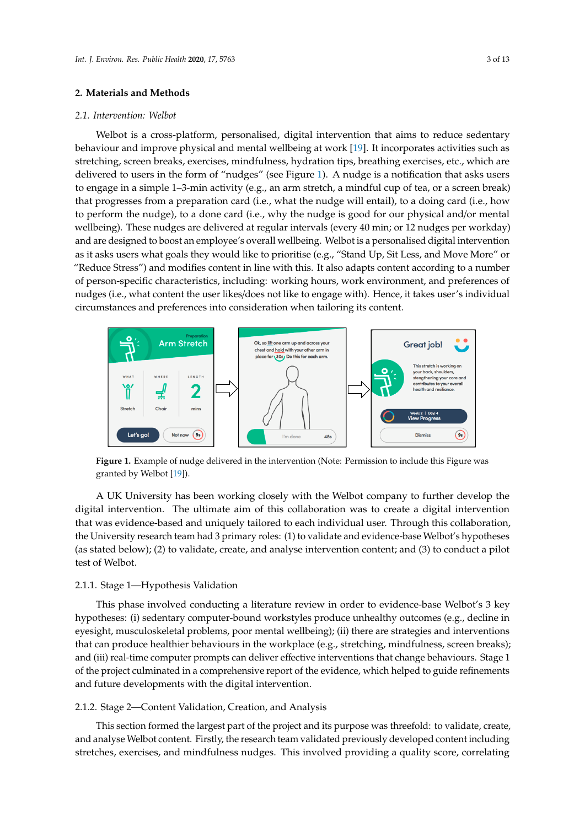## **2. Materials and Methods**

#### *2.1. Intervention: Welbot*

Welbot is a cross-platform, personalised, digital intervention that aims to reduce sedentary behaviour and improve physical and mental wellbeing at work [\[19\]](#page-11-8). It incorporates activities such as stretching, screen breaks, exercises, mindfulness, hydration tips, breathing exercises, etc., which are delivered to users in the form of "nudges" (see Figure 1). A nudge is a notification that asks users to engage in a simple 1–3-min activity (e.g., an arm stretch, a mindful cup of tea, or a screen break) that progresses from a preparation card (i.e., what the nudge will entail), to a doing card (i.e., how to perform the nudge), to a done card (i.e., why the nudge is good for our physical and/or mental wellbeing). These nudges are delivered at regular intervals (every 40 min; or 12 nudges per workday) and are designed to boost an employee's overall wellbeing. Welbot is a personalised digital intervention as it asks users what goals they would like to prioritise (e.g., "Stand Up, Sit Less, and Move More" or "Reduce Stress") and modifies content in line with this. It also adapts content according to a number of person-specific characteristics, including: working hours, work environment, and preferences of nudges (i.e., what content the user likes/does not like to engage with). Hence, it takes user's individual circumstances and preferences into consideration when tailoring its content. tailoring its content.

<span id="page-2-0"></span>

granted by Welbot [19]). **Figure 1.** Example of nudge delivered in the intervention (Note: Permission to include this Figure was

digital intervention. The ultimate aim of this collaboration was to create a digital intervention that was evidence-based and uniquely tailored to each individual user. Through this collaboration, the University research team had 3 primary roles: (1) to validate and evidence-base Welbot's hypotheses (as stated below); (2) to validate, create, and analyse intervention content; and (3) to conduct a pilot test of Welbot. A UK University has been working closely with the Welbot company to further develop the the University research team had 3 primary roles: (1) to validate and evidence-base Welbot's hypotheses<br>(as stated below); (2) to validate, create, and analyse intervention content; and (3) to conduct a pilot<br>test of Welbo

#### test of Welbot. 2.1.1. Stage 1—Hypothesis Validation

This phase involved conducting a literature review in order to evidence-base Welbot's 3 key hypotheses: (i) sedentary computer-bound workstyles produce unhealthy outcomes (e.g., decline in eyesight, musculoskeletal problems, poor mental wellbeing); (ii) there are strategies and interventions that can produce healthier behaviours in the workplace (e.g., stretching, mindfulness, screen breaks); and (iii) real-time computer prompts can deliver effective interventions that change behaviours. Stage 1 of the project culminated in a comprehensive report of the evidence, which helped to guide refinements and future developments with the digital intervention.

# 2.1.2. Stage 2—Content Validation, Creation, and Analysis

This section formed the largest part of the project and its purpose was threefold: to validate, create, and analyse Welbot content. Firstly, the research team validated previously developed content including<br>
This content in the large section of the large section of the large section of the large section of the large stretches, exercises, and mindfulness nudges. This involved providing a quality score, correlating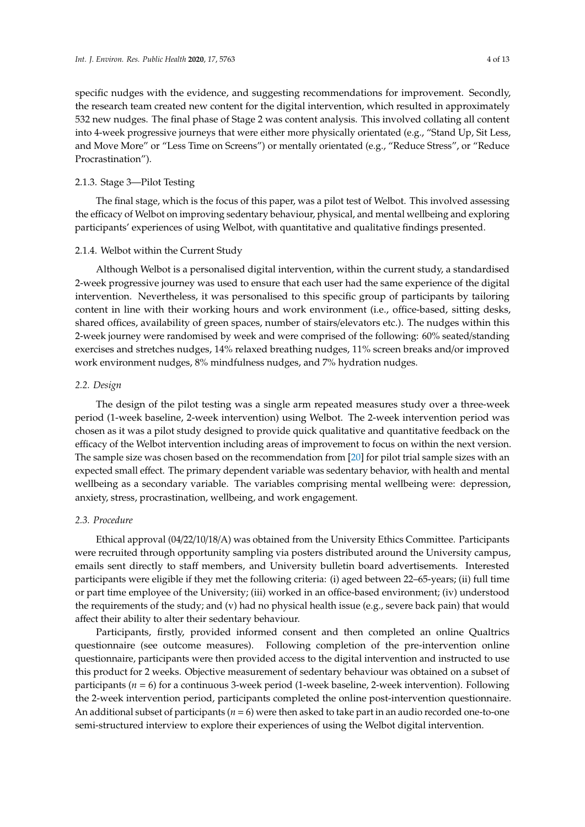specific nudges with the evidence, and suggesting recommendations for improvement. Secondly, the research team created new content for the digital intervention, which resulted in approximately 532 new nudges. The final phase of Stage 2 was content analysis. This involved collating all content into 4-week progressive journeys that were either more physically orientated (e.g., "Stand Up, Sit Less, and Move More" or "Less Time on Screens") or mentally orientated (e.g., "Reduce Stress", or "Reduce Procrastination").

# 2.1.3. Stage 3—Pilot Testing

The final stage, which is the focus of this paper, was a pilot test of Welbot. This involved assessing the efficacy of Welbot on improving sedentary behaviour, physical, and mental wellbeing and exploring participants' experiences of using Welbot, with quantitative and qualitative findings presented.

# 2.1.4. Welbot within the Current Study

Although Welbot is a personalised digital intervention, within the current study, a standardised 2-week progressive journey was used to ensure that each user had the same experience of the digital intervention. Nevertheless, it was personalised to this specific group of participants by tailoring content in line with their working hours and work environment (i.e., office-based, sitting desks, shared offices, availability of green spaces, number of stairs/elevators etc.). The nudges within this 2-week journey were randomised by week and were comprised of the following: 60% seated/standing exercises and stretches nudges, 14% relaxed breathing nudges, 11% screen breaks and/or improved work environment nudges, 8% mindfulness nudges, and 7% hydration nudges.

# *2.2. Design*

The design of the pilot testing was a single arm repeated measures study over a three-week period (1-week baseline, 2-week intervention) using Welbot. The 2-week intervention period was chosen as it was a pilot study designed to provide quick qualitative and quantitative feedback on the efficacy of the Welbot intervention including areas of improvement to focus on within the next version. The sample size was chosen based on the recommendation from [\[20\]](#page-11-9) for pilot trial sample sizes with an expected small effect. The primary dependent variable was sedentary behavior, with health and mental wellbeing as a secondary variable. The variables comprising mental wellbeing were: depression, anxiety, stress, procrastination, wellbeing, and work engagement.

#### *2.3. Procedure*

Ethical approval (04/22/10/18/A) was obtained from the University Ethics Committee. Participants were recruited through opportunity sampling via posters distributed around the University campus, emails sent directly to staff members, and University bulletin board advertisements. Interested participants were eligible if they met the following criteria: (i) aged between 22–65-years; (ii) full time or part time employee of the University; (iii) worked in an office-based environment; (iv) understood the requirements of the study; and (v) had no physical health issue (e.g., severe back pain) that would affect their ability to alter their sedentary behaviour.

Participants, firstly, provided informed consent and then completed an online Qualtrics questionnaire (see outcome measures). Following completion of the pre-intervention online questionnaire, participants were then provided access to the digital intervention and instructed to use this product for 2 weeks. Objective measurement of sedentary behaviour was obtained on a subset of participants (*n* = 6) for a continuous 3-week period (1-week baseline, 2-week intervention). Following the 2-week intervention period, participants completed the online post-intervention questionnaire. An additional subset of participants (*n* = 6) were then asked to take part in an audio recorded one-to-one semi-structured interview to explore their experiences of using the Welbot digital intervention.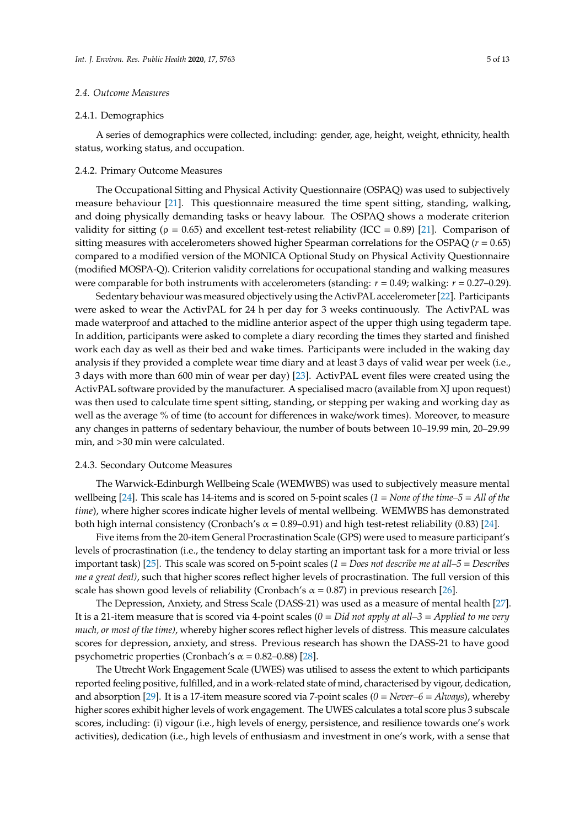## *2.4. Outcome Measures*

### 2.4.1. Demographics

A series of demographics were collected, including: gender, age, height, weight, ethnicity, health status, working status, and occupation.

# 2.4.2. Primary Outcome Measures

The Occupational Sitting and Physical Activity Questionnaire (OSPAQ) was used to subjectively measure behaviour [\[21\]](#page-11-10). This questionnaire measured the time spent sitting, standing, walking, and doing physically demanding tasks or heavy labour. The OSPAQ shows a moderate criterion validity for sitting ( $\rho = 0.65$ ) and excellent test-retest reliability (ICC = 0.89) [\[21\]](#page-11-10). Comparison of sitting measures with accelerometers showed higher Spearman correlations for the OSPAQ (*r* = 0.65) compared to a modified version of the MONICA Optional Study on Physical Activity Questionnaire (modified MOSPA-Q). Criterion validity correlations for occupational standing and walking measures were comparable for both instruments with accelerometers (standing: *r* = 0.49; walking: *r* = 0.27–0.29).

Sedentary behaviour was measured objectively using the ActivPAL accelerometer [\[22\]](#page-11-11). Participants were asked to wear the ActivPAL for 24 h per day for 3 weeks continuously. The ActivPAL was made waterproof and attached to the midline anterior aspect of the upper thigh using tegaderm tape. In addition, participants were asked to complete a diary recording the times they started and finished work each day as well as their bed and wake times. Participants were included in the waking day analysis if they provided a complete wear time diary and at least 3 days of valid wear per week (i.e., 3 days with more than 600 min of wear per day) [\[23\]](#page-11-12). ActivPAL event files were created using the ActivPAL software provided by the manufacturer. A specialised macro (available from XJ upon request) was then used to calculate time spent sitting, standing, or stepping per waking and working day as well as the average % of time (to account for differences in wake/work times). Moreover, to measure any changes in patterns of sedentary behaviour, the number of bouts between 10–19.99 min, 20–29.99 min, and >30 min were calculated.

#### 2.4.3. Secondary Outcome Measures

The Warwick-Edinburgh Wellbeing Scale (WEMWBS) was used to subjectively measure mental wellbeing [\[24\]](#page-11-13). This scale has 14-items and is scored on 5-point scales (*1* = *None of the time–5* = *All of the time*), where higher scores indicate higher levels of mental wellbeing. WEMWBS has demonstrated both high internal consistency (Cronbach's  $\alpha = 0.89$ –0.91) and high test-retest reliability (0.83) [\[24\]](#page-11-13).

Five items from the 20-item General Procrastination Scale (GPS) were used to measure participant's levels of procrastination (i.e., the tendency to delay starting an important task for a more trivial or less important task) [\[25\]](#page-11-14). This scale was scored on 5-point scales (*1* = *Does not describe me at all–5* = *Describes me a great deal)*, such that higher scores reflect higher levels of procrastination. The full version of this scale has shown good levels of reliability (Cronbach's  $\alpha$  = 0.87) in previous research [\[26\]](#page-11-15).

The Depression, Anxiety, and Stress Scale (DASS-21) was used as a measure of mental health [\[27\]](#page-11-16). It is a 21-item measure that is scored via 4-point scales (*0* = *Did not apply at all–3* = *Applied to me very much, or most of the time)*, whereby higher scores reflect higher levels of distress. This measure calculates scores for depression, anxiety, and stress. Previous research has shown the DASS-21 to have good psychometric properties (Cronbach's  $\alpha = 0.82 - 0.88$ ) [\[28\]](#page-11-17).

The Utrecht Work Engagement Scale (UWES) was utilised to assess the extent to which participants reported feeling positive, fulfilled, and in a work-related state of mind, characterised by vigour, dedication, and absorption [\[29\]](#page-11-18). It is a 17-item measure scored via 7-point scales (*0* = *Never–6* = *Always*), whereby higher scores exhibit higher levels of work engagement. The UWES calculates a total score plus 3 subscale scores, including: (i) vigour (i.e., high levels of energy, persistence, and resilience towards one's work activities), dedication (i.e., high levels of enthusiasm and investment in one's work, with a sense that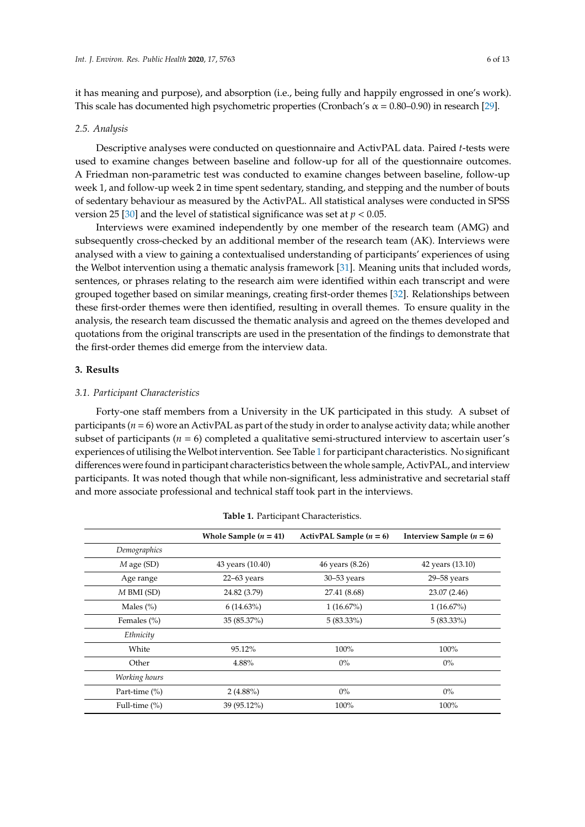it has meaning and purpose), and absorption (i.e., being fully and happily engrossed in one's work). This scale has documented high psychometric properties (Cronbach's  $\alpha = 0.80$ –0.90) in research [\[29\]](#page-11-18).

#### *2.5. Analysis*

Descriptive analyses were conducted on questionnaire and ActivPAL data. Paired *t*-tests were used to examine changes between baseline and follow-up for all of the questionnaire outcomes. A Friedman non-parametric test was conducted to examine changes between baseline, follow-up week 1, and follow-up week 2 in time spent sedentary, standing, and stepping and the number of bouts of sedentary behaviour as measured by the ActivPAL. All statistical analyses were conducted in SPSS version 25 [\[30\]](#page-11-19) and the level of statistical significance was set at  $p < 0.05$ .

Interviews were examined independently by one member of the research team (AMG) and subsequently cross-checked by an additional member of the research team (AK). Interviews were analysed with a view to gaining a contextualised understanding of participants' experiences of using the Welbot intervention using a thematic analysis framework [\[31\]](#page-11-20). Meaning units that included words, sentences, or phrases relating to the research aim were identified within each transcript and were grouped together based on similar meanings, creating first-order themes [\[32\]](#page-11-21). Relationships between these first-order themes were then identified, resulting in overall themes. To ensure quality in the analysis, the research team discussed the thematic analysis and agreed on the themes developed and quotations from the original transcripts are used in the presentation of the findings to demonstrate that the first-order themes did emerge from the interview data.

# **3. Results**

# *3.1. Participant Characteristics*

Forty-one staff members from a University in the UK participated in this study. A subset of participants (*n* = 6) wore an ActivPAL as part of the study in order to analyse activity data; while another subset of participants ( $n = 6$ ) completed a qualitative semi-structured interview to ascertain user's experiences of utilising theWelbot intervention. See Table [1](#page-5-0) for participant characteristics. No significant differences were found in participant characteristics between the whole sample, ActivPAL, and interview participants. It was noted though that while non-significant, less administrative and secretarial staff and more associate professional and technical staff took part in the interviews.

<span id="page-5-0"></span>

|                  | Whole Sample $(n = 41)$ | ActivPAL Sample $(n = 6)$ | Interview Sample $(n = 6)$ |
|------------------|-------------------------|---------------------------|----------------------------|
| Demographics     |                         |                           |                            |
| M age (SD)       | 43 years (10.40)        | 46 years (8.26)           | 42 years (13.10)           |
| Age range        | $22-63$ years           | $30 - 53$ years           | $29 - 58$ years            |
| M BMI (SD)       | 24.82 (3.79)            | 27.41 (8.68)              | 23.07 (2.46)               |
| Males $(\% )$    | $6(14.63\%)$            | $1(16.67\%)$              | $1(16.67\%)$               |
| Females $(\% )$  | 35 (85.37%)             | $5(83.33\%)$              | $5(83.33\%)$               |
| Ethnicity        |                         |                           |                            |
| White            | 95.12%                  | 100%                      | 100%                       |
| Other            | 4.88%                   | $0\%$                     | $0\%$                      |
| Working hours    |                         |                           |                            |
| Part-time (%)    | $2(4.88\%)$             | $0\%$                     | $0\%$                      |
| Full-time $(\%)$ | 39 (95.12%)             | 100%                      | 100%                       |

|  |  | Table 1. Participant Characteristics. |
|--|--|---------------------------------------|
|--|--|---------------------------------------|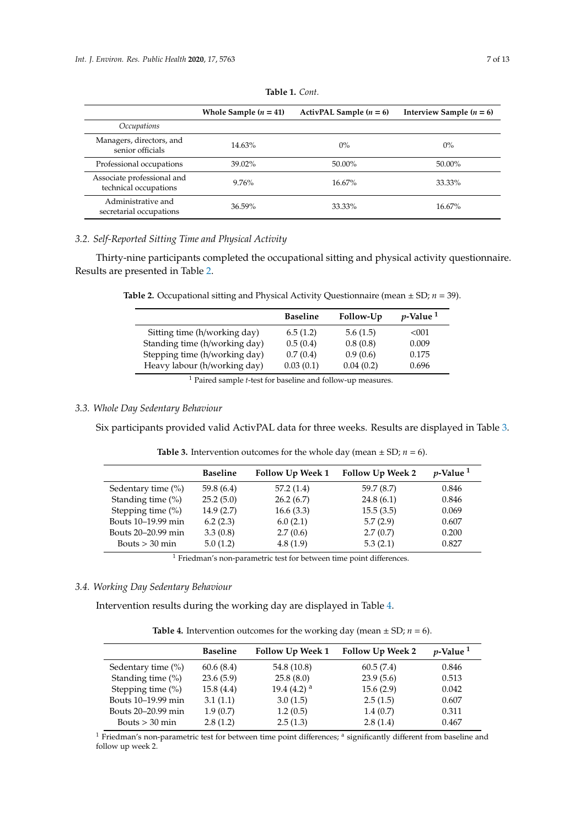|                                                     | Whole Sample $(n = 41)$ | ActivPAL Sample $(n = 6)$ | Interview Sample $(n = 6)$ |
|-----------------------------------------------------|-------------------------|---------------------------|----------------------------|
| Occupations                                         |                         |                           |                            |
| Managers, directors, and<br>senior officials        | 14.63%                  | $0\%$                     | $0\%$                      |
| Professional occupations                            | 39.02%                  | 50.00%                    | 50.00%                     |
| Associate professional and<br>technical occupations | 9.76%                   | 16.67%                    | 33.33%                     |
| Administrative and<br>secretarial occupations       | 36.59%                  | 33.33%                    | 16.67%                     |

**Table 1.** *Cont.*

# *3.2. Self-Reported Sitting Time and Physical Activity*

<span id="page-6-0"></span>Thirty-nine participants completed the occupational sitting and physical activity questionnaire. Results are presented in Table [2.](#page-6-0)

**Table 2.** Occupational sitting and Physical Activity Questionnaire (mean  $\pm$  SD;  $n = 39$ ).

|                               | <b>Baseline</b> | Follow-Up | $p$ -Value <sup>1</sup> |
|-------------------------------|-----------------|-----------|-------------------------|
| Sitting time (h/working day)  | 6.5(1.2)        | 5.6(1.5)  | < 001                   |
| Standing time (h/working day) | 0.5(0.4)        | 0.8(0.8)  | 0.009                   |
| Stepping time (h/working day) | 0.7(0.4)        | 0.9(0.6)  | 0.175                   |
| Heavy labour (h/working day)  | 0.03(0.1)       | 0.04(0.2) | 0.696                   |

<sup>1</sup> Paired sample *t*-test for baseline and follow-up measures.

# *3.3. Whole Day Sedentary Behaviour*

<span id="page-6-1"></span>Six participants provided valid ActivPAL data for three weeks. Results are displayed in Table [3.](#page-6-1)

|                       | <b>Baseline</b> | <b>Follow Up Week 1</b> | <b>Follow Up Week 2</b> | $p$ -Value <sup>1</sup> |
|-----------------------|-----------------|-------------------------|-------------------------|-------------------------|
| Sedentary time $(\%)$ | 59.8 (6.4)      | 57.2(1.4)               | 59.7 (8.7)              | 0.846                   |
| Standing time (%)     | 25.2(5.0)       | 26.2(6.7)               | 24.8(6.1)               | 0.846                   |
| Stepping time (%)     | 14.9(2.7)       | 16.6(3.3)               | 15.5(3.5)               | 0.069                   |
| Bouts 10-19.99 min    | 6.2(2.3)        | 6.0(2.1)                | 5.7(2.9)                | 0.607                   |
| Bouts 20–20.99 min    | 3.3(0.8)        | 2.7(0.6)                | 2.7(0.7)                | 0.200                   |
| Bouts $> 30$ min      | 5.0(1.2)        | 4.8(1.9)                | 5.3(2.1)                | 0.827                   |

**Table 3.** Intervention outcomes for the whole day (mean  $\pm$  SD; *n* = 6).

<sup>1</sup> Friedman's non-parametric test for between time point differences.

# *3.4. Working Day Sedentary Behaviour*

<span id="page-6-2"></span>Intervention results during the working day are displayed in Table [4.](#page-6-2)

**Table 4.** Intervention outcomes for the working day (mean  $\pm$  SD; *n* = 6).

|                       | <b>Baseline</b> | <b>Follow Up Week 1</b>   | <b>Follow Up Week 2</b> | $p$ -Value <sup>1</sup> |
|-----------------------|-----------------|---------------------------|-------------------------|-------------------------|
| Sedentary time $(\%)$ | 60.6(8.4)       | 54.8 (10.8)               | 60.5(7.4)               | 0.846                   |
| Standing time (%)     | 23.6(5.9)       | 25.8(8.0)                 | 23.9(5.6)               | 0.513                   |
| Stepping time (%)     | 15.8(4.4)       | 19.4 $(4.2)$ <sup>a</sup> | 15.6(2.9)               | 0.042                   |
| Bouts 10–19.99 min    | 3.1(1.1)        | 3.0(1.5)                  | 2.5(1.5)                | 0.607                   |
| Bouts 20–20.99 min    | 1.9(0.7)        | 1.2(0.5)                  | 1.4(0.7)                | 0.311                   |
| Bouts $> 30$ min      | 2.8(1.2)        | 2.5(1.3)                  | 2.8(1.4)                | 0.467                   |

<sup>1</sup> Friedman's non-parametric test for between time point differences;  $a$  significantly different from baseline and follow up week 2.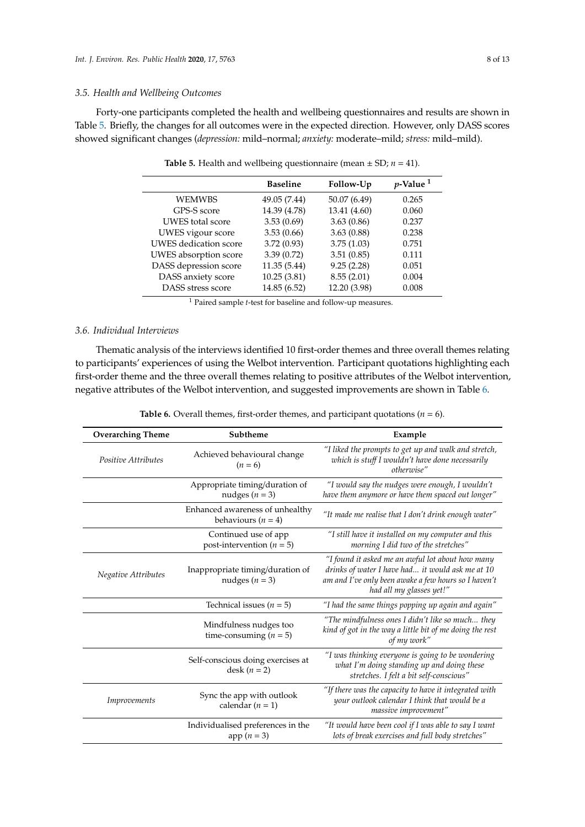#### *3.5. Health and Wellbeing Outcomes*

<span id="page-7-0"></span>Forty-one participants completed the health and wellbeing questionnaires and results are shown in Table [5.](#page-7-0) Briefly, the changes for all outcomes were in the expected direction. However, only DASS scores showed significant changes (*depression:* mild–normal; *anxiety:* moderate–mild; *stress:* mild–mild).

| <b>Baseline</b> | Follow-Up    | $p$ -Value <sup>1</sup> |
|-----------------|--------------|-------------------------|
| 49.05 (7.44)    | 50.07 (6.49) | 0.265                   |
| 14.39 (4.78)    | 13.41 (4.60) | 0.060                   |
| 3.53(0.69)      | 3.63(0.86)   | 0.237                   |
| 3.53(0.66)      | 3.63(0.88)   | 0.238                   |
| 3.72(0.93)      | 3.75(1.03)   | 0.751                   |
| 3.39(0.72)      | 3.51(0.85)   | 0.111                   |
| 11.35 (5.44)    | 9.25(2.28)   | 0.051                   |
| 10.25(3.81)     | 8.55(2.01)   | 0.004                   |
| 14.85 (6.52)    | 12.20 (3.98) | 0.008                   |
|                 |              |                         |

**Table 5.** Health and wellbeing questionnaire (mean  $\pm$  SD;  $n = 41$ ).

<sup>1</sup> Paired sample *t*-test for baseline and follow-up measures.

# *3.6. Individual Interviews*

Thematic analysis of the interviews identified 10 first-order themes and three overall themes relating to participants' experiences of using the Welbot intervention. Participant quotations highlighting each first-order theme and the three overall themes relating to positive attributes of the Welbot intervention, negative attributes of the Welbot intervention, and suggested improvements are shown in Table [6.](#page-7-1)

<span id="page-7-1"></span>

| <b>Overarching Theme</b>   | Subtheme                                                  | Example                                                                                                                                                                                  |
|----------------------------|-----------------------------------------------------------|------------------------------------------------------------------------------------------------------------------------------------------------------------------------------------------|
| Positive Attributes        | Achieved behavioural change<br>$(n = 6)$                  | "I liked the prompts to get up and walk and stretch,<br>which is stuff I wouldn't have done necessarily<br>otherwise"                                                                    |
|                            | Appropriate timing/duration of<br>nudges ( $n = 3$ )      | "I would say the nudges were enough, I wouldn't<br>have them anymore or have them spaced out longer"                                                                                     |
|                            | Enhanced awareness of unhealthy<br>behaviours ( $n = 4$ ) | "It made me realise that I don't drink enough water"                                                                                                                                     |
|                            | Continued use of app<br>post-intervention ( $n = 5$ )     | "I still have it installed on my computer and this<br>morning I did two of the stretches"                                                                                                |
| <b>Negative Attributes</b> | Inappropriate timing/duration of<br>nudges ( $n = 3$ )    | "I found it asked me an awful lot about how many<br>drinks of water I have had it would ask me at 10<br>am and I've only been awake a few hours so I haven't<br>had all my glasses yet!" |
|                            | Technical issues ( $n = 5$ )                              | "I had the same things popping up again and again"                                                                                                                                       |
|                            | Mindfulness nudges too<br>time-consuming $(n = 5)$        | "The mindfulness ones I didn't like so much they<br>kind of got in the way a little bit of me doing the rest<br>of my work"                                                              |
|                            | Self-conscious doing exercises at<br>$\mathrm{desk}(n=2)$ | "I was thinking everyone is going to be wondering<br>what I'm doing standing up and doing these<br>stretches. I felt a bit self-conscious"                                               |
| Improvements               | Sync the app with outlook<br>calendar $(n = 1)$           | "If there was the capacity to have it integrated with<br>your outlook calendar I think that would be a<br>massive improvement"                                                           |
|                            | Individualised preferences in the<br>app $(n = 3)$        | "It would have been cool if I was able to say I want<br>lots of break exercises and full body stretches"                                                                                 |

**Table 6.** Overall themes, first-order themes, and participant quotations ( $n = 6$ ).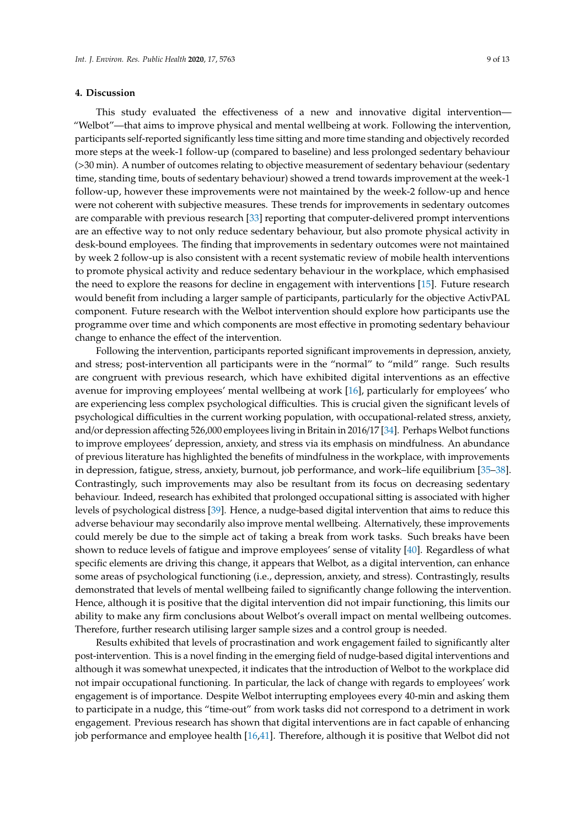## **4. Discussion**

This study evaluated the effectiveness of a new and innovative digital intervention— "Welbot"—that aims to improve physical and mental wellbeing at work. Following the intervention, participants self-reported significantly less time sitting and more time standing and objectively recorded more steps at the week-1 follow-up (compared to baseline) and less prolonged sedentary behaviour (>30 min). A number of outcomes relating to objective measurement of sedentary behaviour (sedentary time, standing time, bouts of sedentary behaviour) showed a trend towards improvement at the week-1 follow-up, however these improvements were not maintained by the week-2 follow-up and hence were not coherent with subjective measures. These trends for improvements in sedentary outcomes are comparable with previous research [\[33\]](#page-11-22) reporting that computer-delivered prompt interventions are an effective way to not only reduce sedentary behaviour, but also promote physical activity in desk-bound employees. The finding that improvements in sedentary outcomes were not maintained by week 2 follow-up is also consistent with a recent systematic review of mobile health interventions to promote physical activity and reduce sedentary behaviour in the workplace, which emphasised the need to explore the reasons for decline in engagement with interventions [\[15\]](#page-11-3). Future research would benefit from including a larger sample of participants, particularly for the objective ActivPAL component. Future research with the Welbot intervention should explore how participants use the programme over time and which components are most effective in promoting sedentary behaviour change to enhance the effect of the intervention.

Following the intervention, participants reported significant improvements in depression, anxiety, and stress; post-intervention all participants were in the "normal" to "mild" range. Such results are congruent with previous research, which have exhibited digital interventions as an effective avenue for improving employees' mental wellbeing at work [\[16\]](#page-11-5), particularly for employees' who are experiencing less complex psychological difficulties. This is crucial given the significant levels of psychological difficulties in the current working population, with occupational-related stress, anxiety, and/or depression affecting 526,000 employees living in Britain in 2016/17 [\[34\]](#page-11-23). Perhaps Welbot functions to improve employees' depression, anxiety, and stress via its emphasis on mindfulness. An abundance of previous literature has highlighted the benefits of mindfulness in the workplace, with improvements in depression, fatigue, stress, anxiety, burnout, job performance, and work–life equilibrium [\[35–](#page-12-0)[38\]](#page-12-1). Contrastingly, such improvements may also be resultant from its focus on decreasing sedentary behaviour. Indeed, research has exhibited that prolonged occupational sitting is associated with higher levels of psychological distress [\[39\]](#page-12-2). Hence, a nudge-based digital intervention that aims to reduce this adverse behaviour may secondarily also improve mental wellbeing. Alternatively, these improvements could merely be due to the simple act of taking a break from work tasks. Such breaks have been shown to reduce levels of fatigue and improve employees' sense of vitality [\[40\]](#page-12-3). Regardless of what specific elements are driving this change, it appears that Welbot, as a digital intervention, can enhance some areas of psychological functioning (i.e., depression, anxiety, and stress). Contrastingly, results demonstrated that levels of mental wellbeing failed to significantly change following the intervention. Hence, although it is positive that the digital intervention did not impair functioning, this limits our ability to make any firm conclusions about Welbot's overall impact on mental wellbeing outcomes. Therefore, further research utilising larger sample sizes and a control group is needed.

Results exhibited that levels of procrastination and work engagement failed to significantly alter post-intervention. This is a novel finding in the emerging field of nudge-based digital interventions and although it was somewhat unexpected, it indicates that the introduction of Welbot to the workplace did not impair occupational functioning. In particular, the lack of change with regards to employees' work engagement is of importance. Despite Welbot interrupting employees every 40-min and asking them to participate in a nudge, this "time-out" from work tasks did not correspond to a detriment in work engagement. Previous research has shown that digital interventions are in fact capable of enhancing job performance and employee health [\[16,](#page-11-5)[41\]](#page-12-4). Therefore, although it is positive that Welbot did not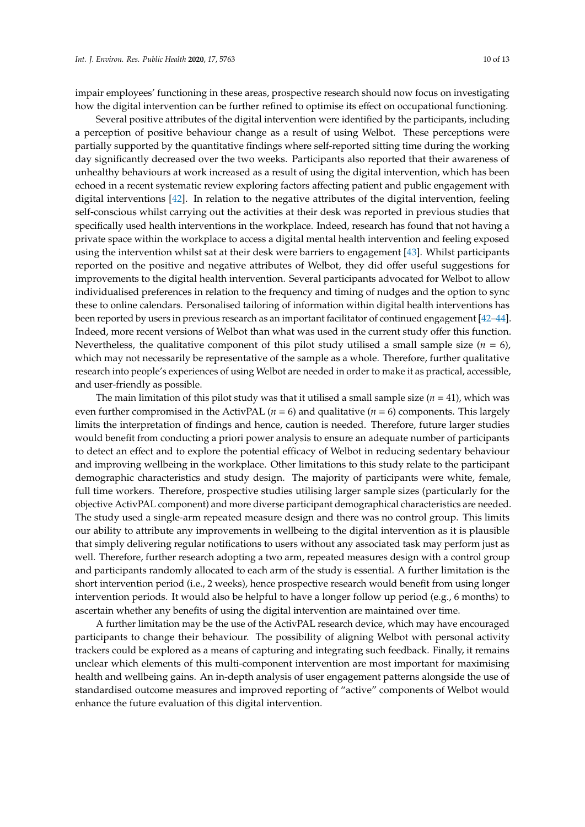impair employees' functioning in these areas, prospective research should now focus on investigating how the digital intervention can be further refined to optimise its effect on occupational functioning.

Several positive attributes of the digital intervention were identified by the participants, including a perception of positive behaviour change as a result of using Welbot. These perceptions were partially supported by the quantitative findings where self-reported sitting time during the working day significantly decreased over the two weeks. Participants also reported that their awareness of unhealthy behaviours at work increased as a result of using the digital intervention, which has been echoed in a recent systematic review exploring factors affecting patient and public engagement with digital interventions [\[42\]](#page-12-5). In relation to the negative attributes of the digital intervention, feeling self-conscious whilst carrying out the activities at their desk was reported in previous studies that specifically used health interventions in the workplace. Indeed, research has found that not having a private space within the workplace to access a digital mental health intervention and feeling exposed using the intervention whilst sat at their desk were barriers to engagement [\[43\]](#page-12-6). Whilst participants reported on the positive and negative attributes of Welbot, they did offer useful suggestions for improvements to the digital health intervention. Several participants advocated for Welbot to allow individualised preferences in relation to the frequency and timing of nudges and the option to sync these to online calendars. Personalised tailoring of information within digital health interventions has been reported by users in previous research as an important facilitator of continued engagement [\[42–](#page-12-5)[44\]](#page-12-7). Indeed, more recent versions of Welbot than what was used in the current study offer this function. Nevertheless, the qualitative component of this pilot study utilised a small sample size  $(n = 6)$ , which may not necessarily be representative of the sample as a whole. Therefore, further qualitative research into people's experiences of using Welbot are needed in order to make it as practical, accessible, and user-friendly as possible.

The main limitation of this pilot study was that it utilised a small sample size  $(n = 41)$ , which was even further compromised in the ActivPAL (*n* = 6) and qualitative (*n* = 6) components. This largely limits the interpretation of findings and hence, caution is needed. Therefore, future larger studies would benefit from conducting a priori power analysis to ensure an adequate number of participants to detect an effect and to explore the potential efficacy of Welbot in reducing sedentary behaviour and improving wellbeing in the workplace. Other limitations to this study relate to the participant demographic characteristics and study design. The majority of participants were white, female, full time workers. Therefore, prospective studies utilising larger sample sizes (particularly for the objective ActivPAL component) and more diverse participant demographical characteristics are needed. The study used a single-arm repeated measure design and there was no control group. This limits our ability to attribute any improvements in wellbeing to the digital intervention as it is plausible that simply delivering regular notifications to users without any associated task may perform just as well. Therefore, further research adopting a two arm, repeated measures design with a control group and participants randomly allocated to each arm of the study is essential. A further limitation is the short intervention period (i.e., 2 weeks), hence prospective research would benefit from using longer intervention periods. It would also be helpful to have a longer follow up period (e.g., 6 months) to ascertain whether any benefits of using the digital intervention are maintained over time.

A further limitation may be the use of the ActivPAL research device, which may have encouraged participants to change their behaviour. The possibility of aligning Welbot with personal activity trackers could be explored as a means of capturing and integrating such feedback. Finally, it remains unclear which elements of this multi-component intervention are most important for maximising health and wellbeing gains. An in-depth analysis of user engagement patterns alongside the use of standardised outcome measures and improved reporting of "active" components of Welbot would enhance the future evaluation of this digital intervention.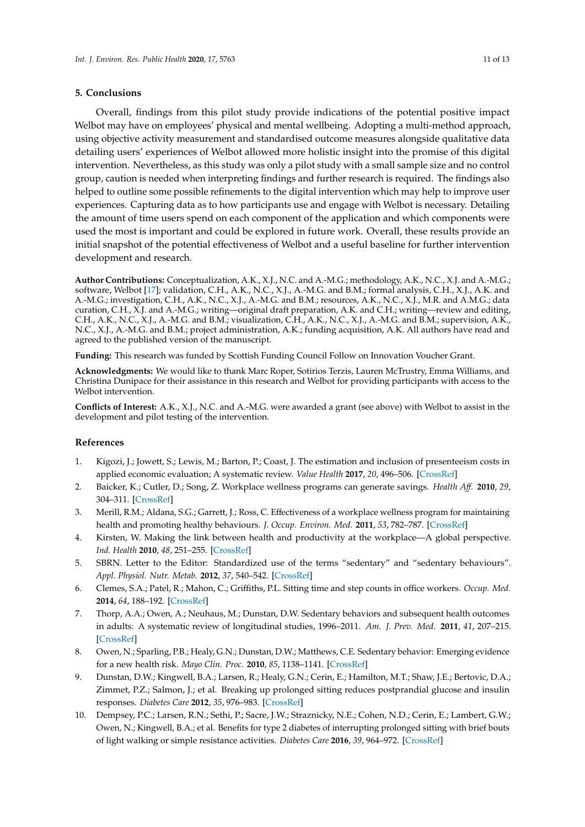## **5. Conclusions**

Overall, findings from this pilot study provide indications of the potential positive impact Welbot may have on employees' physical and mental wellbeing. Adopting a multi-method approach, using objective activity measurement and standardised outcome measures alongside qualitative data detailing users' experiences of Welbot allowed more holistic insight into the promise of this digital intervention. Nevertheless, as this study was only a pilot study with a small sample size and no control group, caution is needed when interpreting findings and further research is required. The findings also helped to outline some possible refinements to the digital intervention which may help to improve user experiences. Capturing data as to how participants use and engage with Welbot is necessary. Detailing the amount of time users spend on each component of the application and which components were used the most is important and could be explored in future work. Overall, these results provide an initial snapshot of the potential effectiveness of Welbot and a useful baseline for further intervention development and research.

**Author Contributions:** Conceptualization, A.K., X.J., N.C. and A.-M.G.; methodology, A.K., N.C., X.J. and A.-M.G.; software, Welbot [\[17\]](#page-11-6); validation, C.H., A.K., N.C., X.J., A.-M.G. and B.M.; formal analysis, C.H., X.J., A.K. and A.-M.G.; investigation, C.H., A.K., N.C., X.J., A.-M.G. and B.M.; resources, A.K., N.C., X.J., M.R. and A.M.G.; data curation, C.H., X.J. and A.-M.G.; writing—original draft preparation, A.K. and C.H.; writing—review and editing, C.H., A.K., N.C., X.J., A.-M.G. and B.M.; visualization, C.H., A.K., N.C., X.J., A.-M.G. and B.M.; supervision, A.K., N.C., X.J., A.-M.G. and B.M.; project administration, A.K.; funding acquisition, A.K. All authors have read and agreed to the published version of the manuscript.

**Funding:** This research was funded by Scottish Funding Council Follow on Innovation Voucher Grant.

**Acknowledgments:** We would like to thank Marc Roper, Sotirios Terzis, Lauren McTrustry, Emma Williams, and Christina Dunipace for their assistance in this research and Welbot for providing participants with access to the Welbot intervention.

**Conflicts of Interest:** A.K., X.J., N.C. and A.-M.G. were awarded a grant (see above) with Welbot to assist in the development and pilot testing of the intervention.

# **References**

- <span id="page-10-0"></span>1. Kigozi, J.; Jowett, S.; Lewis, M.; Barton, P.; Coast, J. The estimation and inclusion of presenteeism costs in applied economic evaluation; A systematic review. *Value Health* **2017**, *20*, 496–506. [\[CrossRef\]](http://dx.doi.org/10.1016/j.jval.2016.12.006)
- <span id="page-10-1"></span>2. Baicker, K.; Cutler, D.; Song, Z. Workplace wellness programs can generate savings. *Health A*ff*.* **2010**, *29*, 304–311. [\[CrossRef\]](http://dx.doi.org/10.1377/hlthaff.2009.0626)
- <span id="page-10-2"></span>3. Merill, R.M.; Aldana, S.G.; Garrett, J.; Ross, C. Effectiveness of a workplace wellness program for maintaining health and promoting healthy behaviours. *J. Occup. Environ. Med.* **2011**, *53*, 782–787. [\[CrossRef\]](http://dx.doi.org/10.1097/JOM.0b013e318220c2f4)
- <span id="page-10-3"></span>4. Kirsten, W. Making the link between health and productivity at the workplace—A global perspective. *Ind. Health* **2010**, *48*, 251–255. [\[CrossRef\]](http://dx.doi.org/10.2486/indhealth.48.251)
- <span id="page-10-4"></span>5. SBRN. Letter to the Editor: Standardized use of the terms "sedentary" and "sedentary behaviours". *Appl. Physiol. Nutr. Metab.* **2012**, *37*, 540–542. [\[CrossRef\]](http://dx.doi.org/10.1139/h2012-024)
- <span id="page-10-5"></span>6. Clemes, S.A.; Patel, R.; Mahon, C.; Griffiths, P.L. Sitting time and step counts in office workers. *Occup. Med.* **2014**, *64*, 188–192. [\[CrossRef\]](http://dx.doi.org/10.1093/occmed/kqt164)
- <span id="page-10-6"></span>7. Thorp, A.A.; Owen, A.; Neuhaus, M.; Dunstan, D.W. Sedentary behaviors and subsequent health outcomes in adults: A systematic review of longitudinal studies, 1996–2011. *Am. J. Prev. Med.* **2011**, *41*, 207–215. [\[CrossRef\]](http://dx.doi.org/10.1016/j.amepre.2011.05.004)
- <span id="page-10-7"></span>8. Owen, N.; Sparling, P.B.; Healy, G.N.; Dunstan, D.W.; Matthews, C.E. Sedentary behavior: Emerging evidence for a new health risk. *Mayo Clin. Proc.* **2010**, *85*, 1138–1141. [\[CrossRef\]](http://dx.doi.org/10.4065/mcp.2010.0444)
- <span id="page-10-8"></span>9. Dunstan, D.W.; Kingwell, B.A.; Larsen, R.; Healy, G.N.; Cerin, E.; Hamilton, M.T.; Shaw, J.E.; Bertovic, D.A.; Zimmet, P.Z.; Salmon, J.; et al. Breaking up prolonged sitting reduces postprandial glucose and insulin responses. *Diabetes Care* **2012**, *35*, 976–983. [\[CrossRef\]](http://dx.doi.org/10.2337/dc11-1931)
- <span id="page-10-9"></span>10. Dempsey, P.C.; Larsen, R.N.; Sethi, P.; Sacre, J.W.; Straznicky, N.E.; Cohen, N.D.; Cerin, E.; Lambert, G.W.; Owen, N.; Kingwell, B.A.; et al. Benefits for type 2 diabetes of interrupting prolonged sitting with brief bouts of light walking or simple resistance activities. *Diabetes Care* **2016**, *39*, 964–972. [\[CrossRef\]](http://dx.doi.org/10.2337/dc15-2336)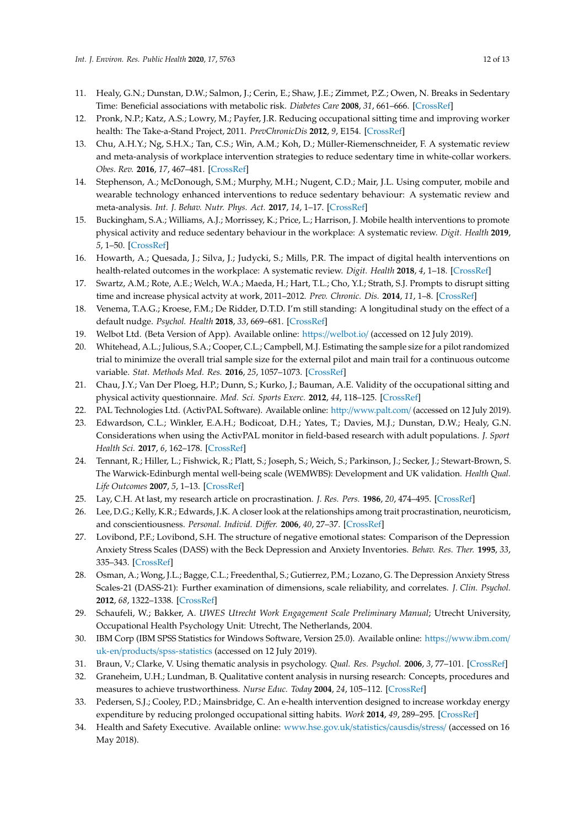- <span id="page-11-0"></span>11. Healy, G.N.; Dunstan, D.W.; Salmon, J.; Cerin, E.; Shaw, J.E.; Zimmet, P.Z.; Owen, N. Breaks in Sedentary Time: Beneficial associations with metabolic risk. *Diabetes Care* **2008**, *31*, 661–666. [\[CrossRef\]](http://dx.doi.org/10.2337/dc07-2046)
- <span id="page-11-1"></span>12. Pronk, N.P.; Katz, A.S.; Lowry, M.; Payfer, J.R. Reducing occupational sitting time and improving worker health: The Take-a-Stand Project, 2011. *PrevChronicDis* **2012**, *9*, E154. [\[CrossRef\]](http://dx.doi.org/10.5888/pcd9.110323)
- <span id="page-11-2"></span>13. Chu, A.H.Y.; Ng, S.H.X.; Tan, C.S.; Win, A.M.; Koh, D.; Müller-Riemenschneider, F. A systematic review and meta-analysis of workplace intervention strategies to reduce sedentary time in white-collar workers. *Obes. Rev.* **2016**, *17*, 467–481. [\[CrossRef\]](http://dx.doi.org/10.1111/obr.12388)
- <span id="page-11-4"></span>14. Stephenson, A.; McDonough, S.M.; Murphy, M.H.; Nugent, C.D.; Mair, J.L. Using computer, mobile and wearable technology enhanced interventions to reduce sedentary behaviour: A systematic review and meta-analysis. *Int. J. Behav. Nutr. Phys. Act.* **2017**, *14*, 1–17. [\[CrossRef\]](http://dx.doi.org/10.1186/s12966-017-0561-4)
- <span id="page-11-3"></span>15. Buckingham, S.A.; Williams, A.J.; Morrissey, K.; Price, L.; Harrison, J. Mobile health interventions to promote physical activity and reduce sedentary behaviour in the workplace: A systematic review. *Digit. Health* **2019**, *5*, 1–50. [\[CrossRef\]](http://dx.doi.org/10.1177/2055207619839883)
- <span id="page-11-5"></span>16. Howarth, A.; Quesada, J.; Silva, J.; Judycki, S.; Mills, P.R. The impact of digital health interventions on health-related outcomes in the workplace: A systematic review. *Digit. Health* **2018**, *4*, 1–18. [\[CrossRef\]](http://dx.doi.org/10.1177/2055207618770861)
- <span id="page-11-6"></span>17. Swartz, A.M.; Rote, A.E.; Welch, W.A.; Maeda, H.; Hart, T.L.; Cho, Y.I.; Strath, S.J. Prompts to disrupt sitting time and increase physical actvity at work, 2011–2012. *Prev. Chronic. Dis.* **2014**, *11*, 1–8. [\[CrossRef\]](http://dx.doi.org/10.5888/pcd11.130318)
- <span id="page-11-7"></span>18. Venema, T.A.G.; Kroese, F.M.; De Ridder, D.T.D. I'm still standing: A longitudinal study on the effect of a default nudge. *Psychol. Health* **2018**, *33*, 669–681. [\[CrossRef\]](http://dx.doi.org/10.1080/08870446.2017.1385786)
- <span id="page-11-8"></span>19. Welbot Ltd. (Beta Version of App). Available online: https://[welbot.io](https://welbot.io/)/ (accessed on 12 July 2019).
- <span id="page-11-9"></span>20. Whitehead, A.L.; Julious, S.A.; Cooper, C.L.; Campbell, M.J. Estimating the sample size for a pilot randomized trial to minimize the overall trial sample size for the external pilot and main trail for a continuous outcome variable. *Stat. Methods Med. Res.* **2016**, *25*, 1057–1073. [\[CrossRef\]](http://dx.doi.org/10.1177/0962280215588241)
- <span id="page-11-10"></span>21. Chau, J.Y.; Van Der Ploeg, H.P.; Dunn, S.; Kurko, J.; Bauman, A.E. Validity of the occupational sitting and physical activity questionnaire. *Med. Sci. Sports Exerc.* **2012**, *44*, 118–125. [\[CrossRef\]](http://dx.doi.org/10.1249/MSS.0b013e3182251060)
- <span id="page-11-11"></span>22. PAL Technologies Ltd. (ActivPAL Software). Available online: http://[www.palt.com](http://www.palt.com/)/ (accessed on 12 July 2019).
- <span id="page-11-12"></span>23. Edwardson, C.L.; Winkler, E.A.H.; Bodicoat, D.H.; Yates, T.; Davies, M.J.; Dunstan, D.W.; Healy, G.N. Considerations when using the ActivPAL monitor in field-based research with adult populations. *J. Sport Health Sci.* **2017**, *6*, 162–178. [\[CrossRef\]](http://dx.doi.org/10.1016/j.jshs.2016.02.002)
- <span id="page-11-13"></span>24. Tennant, R.; Hiller, L.; Fishwick, R.; Platt, S.; Joseph, S.; Weich, S.; Parkinson, J.; Secker, J.; Stewart-Brown, S. The Warwick-Edinburgh mental well-being scale (WEMWBS): Development and UK validation. *Health Qual. Life Outcomes* **2007**, *5*, 1–13. [\[CrossRef\]](http://dx.doi.org/10.1186/1477-7525-5-63)
- <span id="page-11-14"></span>25. Lay, C.H. At last, my research article on procrastination. *J. Res. Pers.* **1986**, *20*, 474–495. [\[CrossRef\]](http://dx.doi.org/10.1016/0092-6566(86)90127-3)
- <span id="page-11-15"></span>26. Lee, D.G.; Kelly, K.R.; Edwards, J.K. A closer look at the relationships among trait procrastination, neuroticism, and conscientiousness. *Personal. Individ. Di*ff*er.* **2006**, *40*, 27–37. [\[CrossRef\]](http://dx.doi.org/10.1016/j.paid.2005.05.010)
- <span id="page-11-16"></span>27. Lovibond, P.F.; Lovibond, S.H. The structure of negative emotional states: Comparison of the Depression Anxiety Stress Scales (DASS) with the Beck Depression and Anxiety Inventories. *Behav. Res. Ther.* **1995**, *33*, 335–343. [\[CrossRef\]](http://dx.doi.org/10.1016/0005-7967(94)00075-U)
- <span id="page-11-17"></span>28. Osman, A.; Wong, J.L.; Bagge, C.L.; Freedenthal, S.; Gutierrez, P.M.; Lozano, G. The Depression Anxiety Stress Scales-21 (DASS-21): Further examination of dimensions, scale reliability, and correlates. *J. Clin. Psychol.* **2012**, *68*, 1322–1338. [\[CrossRef\]](http://dx.doi.org/10.1002/jclp.21908)
- <span id="page-11-18"></span>29. Schaufeli, W.; Bakker, A. *UWES Utrecht Work Engagement Scale Preliminary Manual*; Utrecht University, Occupational Health Psychology Unit: Utrecht, The Netherlands, 2004.
- <span id="page-11-19"></span>30. IBM Corp (IBM SPSS Statistics for Windows Software, Version 25.0). Available online: https://[www.ibm.com](https://www.ibm.com/uk-en/products/spss-statistics)/ uk-en/products/[spss-statistics](https://www.ibm.com/uk-en/products/spss-statistics) (accessed on 12 July 2019).
- <span id="page-11-20"></span>31. Braun, V.; Clarke, V. Using thematic analysis in psychology. *Qual. Res. Psychol.* **2006**, *3*, 77–101. [\[CrossRef\]](http://dx.doi.org/10.1191/1478088706qp063oa)
- <span id="page-11-21"></span>32. Graneheim, U.H.; Lundman, B. Qualitative content analysis in nursing research: Concepts, procedures and measures to achieve trustworthiness. *Nurse Educ. Today* **2004**, *24*, 105–112. [\[CrossRef\]](http://dx.doi.org/10.1016/j.nedt.2003.10.001)
- <span id="page-11-22"></span>33. Pedersen, S.J.; Cooley, P.D.; Mainsbridge, C. An e-health intervention designed to increase workday energy expenditure by reducing prolonged occupational sitting habits. *Work* **2014**, *49*, 289–295. [\[CrossRef\]](http://dx.doi.org/10.3233/WOR-131644)
- <span id="page-11-23"></span>34. Health and Safety Executive. Available online: [www.hse.gov.uk](www.hse.gov.uk/statistics/causdis/stress/)/statistics/causdis/stress/ (accessed on 16 May 2018).